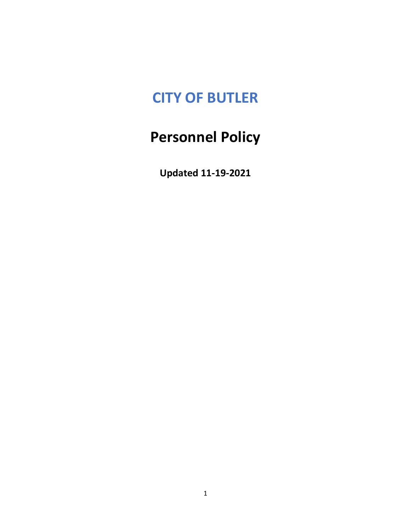## **CITY OF BUTLER**

# **Personnel Policy**

**Updated 11-19-2021**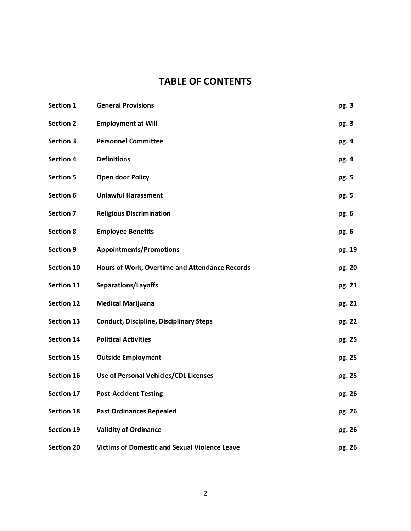## **TABLE OF CONTENTS**

| Section 1         | <b>General Provisions</b>                             | pg. 3  |
|-------------------|-------------------------------------------------------|--------|
| <b>Section 2</b>  | <b>Employment at Will</b>                             | pg. 3  |
| <b>Section 3</b>  | <b>Personnel Committee</b>                            | pg. 4  |
| <b>Section 4</b>  | <b>Definitions</b>                                    | pg. 4  |
| <b>Section 5</b>  | <b>Open door Policy</b>                               | pg. 5  |
| Section 6         | <b>Unlawful Harassment</b>                            | pg. 5  |
| <b>Section 7</b>  | <b>Religious Discrimination</b>                       | pg. 6  |
| <b>Section 8</b>  | <b>Employee Benefits</b>                              | pg. 6  |
| <b>Section 9</b>  | <b>Appointments/Promotions</b>                        | pg. 19 |
| Section 10        | <b>Hours of Work, Overtime and Attendance Records</b> | pg. 20 |
| Section 11        | <b>Separations/Layoffs</b>                            | pg. 21 |
| <b>Section 12</b> | <b>Medical Marijuana</b>                              | pg. 21 |
| Section 13        | <b>Conduct, Discipline, Disciplinary Steps</b>        | pg. 22 |
| Section 14        | <b>Political Activities</b>                           | pg. 25 |
| Section 15        | <b>Outside Employment</b>                             | pg. 25 |
| Section 16        | Use of Personal Vehicles/CDL Licenses                 | pg. 25 |
| Section 17        | <b>Post-Accident Testing</b>                          | pg. 26 |
| <b>Section 18</b> | <b>Past Ordinances Repealed</b>                       | pg. 26 |
| Section 19        | <b>Validity of Ordinance</b>                          | pg. 26 |
| <b>Section 20</b> | <b>Victims of Domestic and Sexual Violence Leave</b>  | pg. 26 |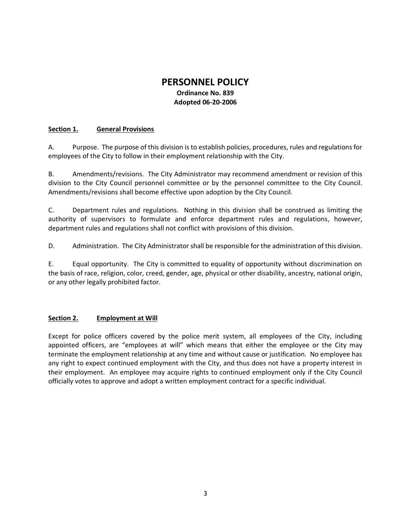## **PERSONNEL POLICY**

## **Ordinance No. 839 Adopted 06-20-2006**

## **Section 1. General Provisions**

A. Purpose. The purpose of this division is to establish policies, procedures, rules and regulations for employees of the City to follow in their employment relationship with the City.

B. Amendments/revisions. The City Administrator may recommend amendment or revision of this division to the City Council personnel committee or by the personnel committee to the City Council. Amendments/revisions shall become effective upon adoption by the City Council.

C. Department rules and regulations. Nothing in this division shall be construed as limiting the authority of supervisors to formulate and enforce department rules and regulations, however, department rules and regulations shall not conflict with provisions of this division.

D. Administration. The City Administrator shall be responsible for the administration of this division.

E. Equal opportunity. The City is committed to equality of opportunity without discrimination on the basis of race, religion, color, creed, gender, age, physical or other disability, ancestry, national origin, or any other legally prohibited factor.

### **Section 2. Employment at Will**

Except for police officers covered by the police merit system, all employees of the City, including appointed officers, are "employees at will" which means that either the employee or the City may terminate the employment relationship at any time and without cause or justification. No employee has any right to expect continued employment with the City, and thus does not have a property interest in their employment. An employee may acquire rights to continued employment only if the City Council officially votes to approve and adopt a written employment contract for a specific individual.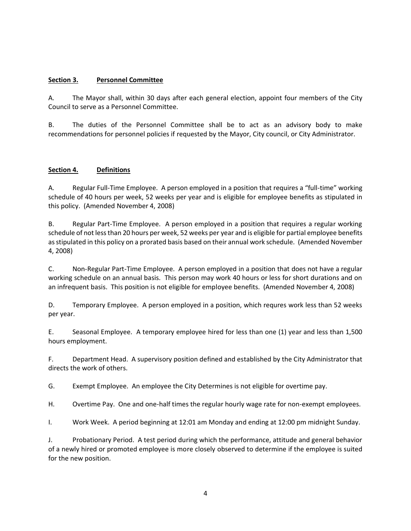## **Section 3. Personnel Committee**

A. The Mayor shall, within 30 days after each general election, appoint four members of the City Council to serve as a Personnel Committee.

B. The duties of the Personnel Committee shall be to act as an advisory body to make recommendations for personnel policies if requested by the Mayor, City council, or City Administrator.

## **Section 4. Definitions**

A. Regular Full-Time Employee. A person employed in a position that requires a "full-time" working schedule of 40 hours per week, 52 weeks per year and is eligible for employee benefits as stipulated in this policy. (Amended November 4, 2008)

B. Regular Part-Time Employee. A person employed in a position that requires a regular working schedule of not less than 20 hours per week, 52 weeks per year and is eligible for partial employee benefits as stipulated in this policy on a prorated basis based on their annual work schedule. (Amended November 4, 2008)

C. Non-Regular Part-Time Employee. A person employed in a position that does not have a regular working schedule on an annual basis. This person may work 40 hours or less for short durations and on an infrequent basis. This position is not eligible for employee benefits. (Amended November 4, 2008)

D. Temporary Employee. A person employed in a position, which requres work less than 52 weeks per year.

E. Seasonal Employee. A temporary employee hired for less than one (1) year and less than 1,500 hours employment.

F. Department Head. A supervisory position defined and established by the City Administrator that directs the work of others.

G. Exempt Employee. An employee the City Determines is not eligible for overtime pay.

H. Overtime Pay. One and one-half times the regular hourly wage rate for non-exempt employees.

I. Work Week. A period beginning at 12:01 am Monday and ending at 12:00 pm midnight Sunday.

J. Probationary Period. A test period during which the performance, attitude and general behavior of a newly hired or promoted employee is more closely observed to determine if the employee is suited for the new position.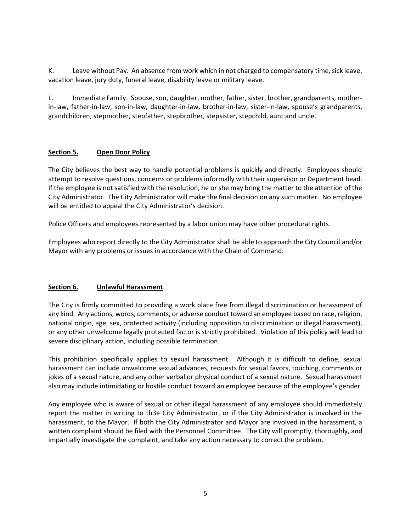K. Leave without Pay. An absence from work which in not charged to compensatory time, sick leave, vacation leave, jury duty, funeral leave, disability leave or military leave.

L. Immediate Family. Spouse, son, daughter, mother, father, sister, brother, grandparents, motherin-law, father-in-law, son-in-law, daughter-in-law, brother-in-law, sister-in-law, spouse's grandparents, grandchildren, stepmother, stepfather, stepbrother, stepsister, stepchild, aunt and uncle.

## **Section 5. Open Door Policy**

The City believes the best way to handle potential problems is quickly and directly. Employees should attempt to resolve questions, concerns or problems informally with their supervisor or Department head. If the employee is not satisfied with the resolution, he or she may bring the matter to the attention of the City Administrator. The City Administrator will make the final decision on any such matter. No employee will be entitled to appeal the City Administrator's decision.

Police Officers and employees represented by a labor union may have other procedural rights.

Employees who report directly to the City Administrator shall be able to approach the City Council and/or Mayor with any problems or issues in accordance with the Chain of Command.

## **Section 6. Unlawful Harassment**

The City is firmly committed to providing a work place free from illegal discrimination or harassment of any kind. Any actions, words, comments, or adverse conduct toward an employee based on race, religion, national origin, age, sex, protected activity (including opposition to discrimination or illegal harassment), or any other unwelcome legally protected factor is strictly prohibited. Violation of this policy will lead to severe disciplinary action, including possible termination.

This prohibition specifically applies to sexual harassment. Although it is difficult to define, sexual harassment can include unwelcome sexual advances, requests for sexual favors, touching, comments or jokes of a sexual nature, and any other verbal or physical conduct of a sexual nature. Sexual harassment also may include intimidating or hostile conduct toward an employee because of the employee's gender.

Any employee who is aware of sexual or other illegal harassment of any employee should immediately report the matter in writing to th3e City Administrator, or if the City Administrator is involved in the harassment, to the Mayor. If both the City Administrator and Mayor are involved in the harassment, a written complaint should be filed with the Personnel Committee. The City will promptly, thoroughly, and impartially investigate the complaint, and take any action necessary to correct the problem.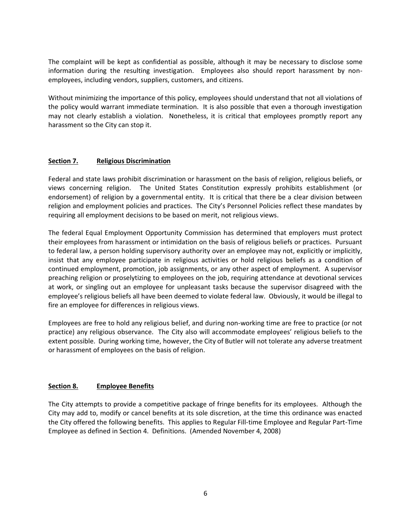The complaint will be kept as confidential as possible, although it may be necessary to disclose some information during the resulting investigation. Employees also should report harassment by nonemployees, including vendors, suppliers, customers, and citizens.

Without minimizing the importance of this policy, employees should understand that not all violations of the policy would warrant immediate termination. It is also possible that even a thorough investigation may not clearly establish a violation. Nonetheless, it is critical that employees promptly report any harassment so the City can stop it.

## **Section 7. Religious Discrimination**

Federal and state laws prohibit discrimination or harassment on the basis of religion, religious beliefs, or views concerning religion. The United States Constitution expressly prohibits establishment (or endorsement) of religion by a governmental entity. It is critical that there be a clear division between religion and employment policies and practices. The City's Personnel Policies reflect these mandates by requiring all employment decisions to be based on merit, not religious views.

The federal Equal Employment Opportunity Commission has determined that employers must protect their employees from harassment or intimidation on the basis of religious beliefs or practices. Pursuant to federal law, a person holding supervisory authority over an employee may not, explicitly or implicitly, insist that any employee participate in religious activities or hold religious beliefs as a condition of continued employment, promotion, job assignments, or any other aspect of employment. A supervisor preaching religion or proselytizing to employees on the job, requiring attendance at devotional services at work, or singling out an employee for unpleasant tasks because the supervisor disagreed with the employee's religious beliefs all have been deemed to violate federal law. Obviously, it would be illegal to fire an employee for differences in religious views.

Employees are free to hold any religious belief, and during non-working time are free to practice (or not practice) any religious observance. The City also will accommodate employees' religious beliefs to the extent possible. During working time, however, the City of Butler will not tolerate any adverse treatment or harassment of employees on the basis of religion.

## **Section 8. Employee Benefits**

The City attempts to provide a competitive package of fringe benefits for its employees. Although the City may add to, modify or cancel benefits at its sole discretion, at the time this ordinance was enacted the City offered the following benefits. This applies to Regular Fill-time Employee and Regular Part-Time Employee as defined in Section 4. Definitions. (Amended November 4, 2008)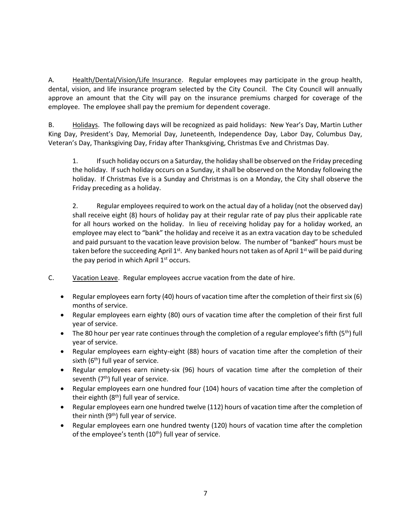A. Health/Dental/Vision/Life Insurance. Regular employees may participate in the group health, dental, vision, and life insurance program selected by the City Council. The City Council will annually approve an amount that the City will pay on the insurance premiums charged for coverage of the employee. The employee shall pay the premium for dependent coverage.

B. Holidays. The following days will be recognized as paid holidays: New Year's Day, Martin Luther King Day, President's Day, Memorial Day, Juneteenth, Independence Day, Labor Day, Columbus Day, Veteran's Day, Thanksgiving Day, Friday after Thanksgiving, Christmas Eve and Christmas Day.

1. If such holiday occurs on a Saturday, the holiday shall be observed on the Friday preceding the holiday. If such holiday occurs on a Sunday, it shall be observed on the Monday following the holiday. If Christmas Eve is a Sunday and Christmas is on a Monday, the City shall observe the Friday preceding as a holiday.

2. Regular employees required to work on the actual day of a holiday (not the observed day) shall receive eight (8) hours of holiday pay at their regular rate of pay plus their applicable rate for all hours worked on the holiday. In lieu of receiving holiday pay for a holiday worked, an employee may elect to "bank" the holiday and receive it as an extra vacation day to be scheduled and paid pursuant to the vacation leave provision below. The number of "banked" hours must be taken before the succeeding April  $1^{st}$ . Any banked hours not taken as of April  $1^{st}$  will be paid during the pay period in which April  $1<sup>st</sup>$  occurs.

- C. Vacation Leave. Regular employees accrue vacation from the date of hire.
	- Regular employees earn forty (40) hours of vacation time after the completion of their first six (6) months of service.
	- Regular employees earn eighty (80) ours of vacation time after the completion of their first full year of service.
	- The 80 hour per year rate continues through the completion of a regular employee's fifth (5<sup>th</sup>) full year of service.
	- Regular employees earn eighty-eight (88) hours of vacation time after the completion of their sixth  $(6<sup>th</sup>)$  full year of service.
	- Regular employees earn ninety-six (96) hours of vacation time after the completion of their seventh  $(7<sup>th</sup>)$  full year of service.
	- Regular employees earn one hundred four (104) hours of vacation time after the completion of their eighth  $(8<sup>th</sup>)$  full year of service.
	- Regular employees earn one hundred twelve (112) hours of vacation time after the completion of their ninth  $(9<sup>th</sup>)$  full year of service.
	- Regular employees earn one hundred twenty (120) hours of vacation time after the completion of the employee's tenth  $(10<sup>th</sup>)$  full year of service.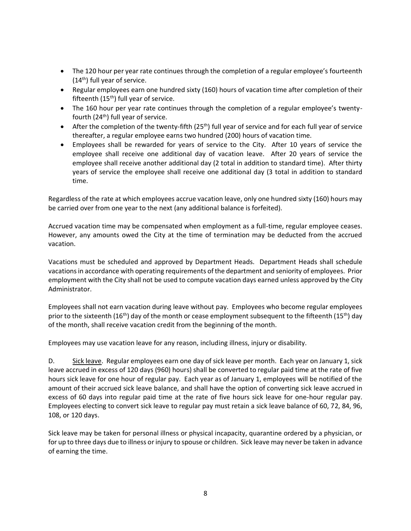- The 120 hour per year rate continues through the completion of a regular employee's fourteenth  $(14<sup>th</sup>)$  full year of service.
- Regular employees earn one hundred sixty (160) hours of vacation time after completion of their fifteenth  $(15<sup>th</sup>)$  full year of service.
- The 160 hour per year rate continues through the completion of a regular employee's twentyfourth (24th) full year of service.
- After the completion of the twenty-fifth  $(25<sup>th</sup>)$  full year of service and for each full year of service thereafter, a regular employee earns two hundred (200) hours of vacation time.
- Employees shall be rewarded for years of service to the City. After 10 years of service the employee shall receive one additional day of vacation leave. After 20 years of service the employee shall receive another additional day (2 total in addition to standard time). After thirty years of service the employee shall receive one additional day (3 total in addition to standard time.

Regardless of the rate at which employees accrue vacation leave, only one hundred sixty (160) hours may be carried over from one year to the next (any additional balance is forfeited).

Accrued vacation time may be compensated when employment as a full-time, regular employee ceases. However, any amounts owed the City at the time of termination may be deducted from the accrued vacation.

Vacations must be scheduled and approved by Department Heads. Department Heads shall schedule vacations in accordance with operating requirements of the department and seniority of employees. Prior employment with the City shall not be used to compute vacation days earned unless approved by the City Administrator.

Employees shall not earn vacation during leave without pay. Employees who become regular employees prior to the sixteenth (16<sup>th</sup>) day of the month or cease employment subsequent to the fifteenth (15<sup>th</sup>) day of the month, shall receive vacation credit from the beginning of the month.

Employees may use vacation leave for any reason, including illness, injury or disability.

D. Sick leave. Regular employees earn one day of sick leave per month. Each year on January 1, sick leave accrued in excess of 120 days (960) hours) shall be converted to regular paid time at the rate of five hours sick leave for one hour of regular pay. Each year as of January 1, employees will be notified of the amount of their accrued sick leave balance, and shall have the option of converting sick leave accrued in excess of 60 days into regular paid time at the rate of five hours sick leave for one-hour regular pay. Employees electing to convert sick leave to regular pay must retain a sick leave balance of 60, 72, 84, 96, 108, or 120 days.

Sick leave may be taken for personal illness or physical incapacity, quarantine ordered by a physician, or for up to three days due to illness or injury to spouse or children. Sick leave may never be taken in advance of earning the time.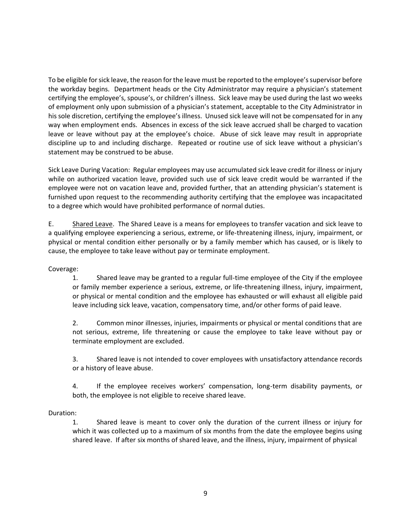To be eligible for sick leave, the reason for the leave must be reported to the employee's supervisor before the workday begins. Department heads or the City Administrator may require a physician's statement certifying the employee's, spouse's, or children's illness. Sick leave may be used during the last wo weeks of employment only upon submission of a physician's statement, acceptable to the City Administrator in his sole discretion, certifying the employee's illness. Unused sick leave will not be compensated for in any way when employment ends. Absences in excess of the sick leave accrued shall be charged to vacation leave or leave without pay at the employee's choice. Abuse of sick leave may result in appropriate discipline up to and including discharge. Repeated or routine use of sick leave without a physician's statement may be construed to be abuse.

Sick Leave During Vacation: Regular employees may use accumulated sick leave credit for illness or injury while on authorized vacation leave, provided such use of sick leave credit would be warranted if the employee were not on vacation leave and, provided further, that an attending physician's statement is furnished upon request to the recommending authority certifying that the employee was incapacitated to a degree which would have prohibited performance of normal duties.

E. Shared Leave. The Shared Leave is a means for employees to transfer vacation and sick leave to a qualifying employee experiencing a serious, extreme, or life-threatening illness, injury, impairment, or physical or mental condition either personally or by a family member which has caused, or is likely to cause, the employee to take leave without pay or terminate employment.

Coverage:

1. Shared leave may be granted to a regular full-time employee of the City if the employee or family member experience a serious, extreme, or life-threatening illness, injury, impairment, or physical or mental condition and the employee has exhausted or will exhaust all eligible paid leave including sick leave, vacation, compensatory time, and/or other forms of paid leave.

2. Common minor illnesses, injuries, impairments or physical or mental conditions that are not serious, extreme, life threatening or cause the employee to take leave without pay or terminate employment are excluded.

3. Shared leave is not intended to cover employees with unsatisfactory attendance records or a history of leave abuse.

4. If the employee receives workers' compensation, long-term disability payments, or both, the employee is not eligible to receive shared leave.

## Duration:

1. Shared leave is meant to cover only the duration of the current illness or injury for which it was collected up to a maximum of six months from the date the employee begins using shared leave. If after six months of shared leave, and the illness, injury, impairment of physical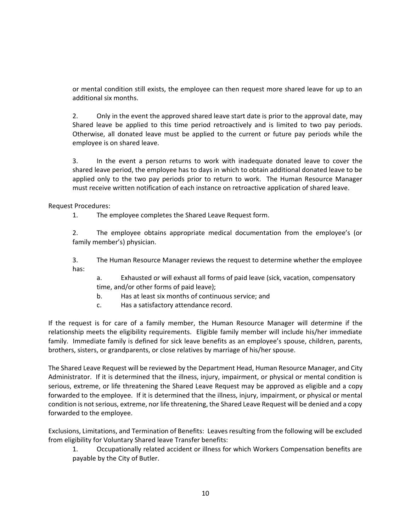or mental condition still exists, the employee can then request more shared leave for up to an additional six months.

2. Only in the event the approved shared leave start date is prior to the approval date, may Shared leave be applied to this time period retroactively and is limited to two pay periods. Otherwise, all donated leave must be applied to the current or future pay periods while the employee is on shared leave.

3. In the event a person returns to work with inadequate donated leave to cover the shared leave period, the employee has to days in which to obtain additional donated leave to be applied only to the two pay periods prior to return to work. The Human Resource Manager must receive written notification of each instance on retroactive application of shared leave.

Request Procedures:

1. The employee completes the Shared Leave Request form.

2. The employee obtains appropriate medical documentation from the employee's (or family member's) physician.

3. The Human Resource Manager reviews the request to determine whether the employee has:

a. Exhausted or will exhaust all forms of paid leave (sick, vacation, compensatory time, and/or other forms of paid leave);

- b. Has at least six months of continuous service; and
- c. Has a satisfactory attendance record.

If the request is for care of a family member, the Human Resource Manager will determine if the relationship meets the eligibility requirements. Eligible family member will include his/her immediate family. Immediate family is defined for sick leave benefits as an employee's spouse, children, parents, brothers, sisters, or grandparents, or close relatives by marriage of his/her spouse.

The Shared Leave Request will be reviewed by the Department Head, Human Resource Manager, and City Administrator. If it is determined that the illness, injury, impairment, or physical or mental condition is serious, extreme, or life threatening the Shared Leave Request may be approved as eligible and a copy forwarded to the employee. If it is determined that the illness, injury, impairment, or physical or mental condition is not serious, extreme, nor life threatening, the Shared Leave Request will be denied and a copy forwarded to the employee.

Exclusions, Limitations, and Termination of Benefits: Leaves resulting from the following will be excluded from eligibility for Voluntary Shared leave Transfer benefits:

1. Occupationally related accident or illness for which Workers Compensation benefits are payable by the City of Butler.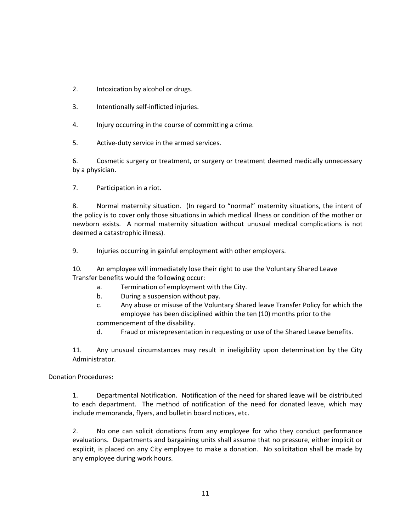- 2. Intoxication by alcohol or drugs.
- 3. Intentionally self-inflicted injuries.
- 4. Injury occurring in the course of committing a crime.
- 5. Active-duty service in the armed services.

6. Cosmetic surgery or treatment, or surgery or treatment deemed medically unnecessary by a physician.

7. Participation in a riot.

8. Normal maternity situation. (In regard to "normal" maternity situations, the intent of the policy is to cover only those situations in which medical illness or condition of the mother or newborn exists. A normal maternity situation without unusual medical complications is not deemed a catastrophic illness).

9. Injuries occurring in gainful employment with other employers.

10. An employee will immediately lose their right to use the Voluntary Shared Leave Transfer benefits would the following occur:

- a. Termination of employment with the City.
- b. During a suspension without pay.
- c. Any abuse or misuse of the Voluntary Shared leave Transfer Policy for which the employee has been disciplined within the ten (10) months prior to the commencement of the disability.
- d. Fraud or misrepresentation in requesting or use of the Shared Leave benefits.

11. Any unusual circumstances may result in ineligibility upon determination by the City Administrator.

Donation Procedures:

1. Departmental Notification. Notification of the need for shared leave will be distributed to each department. The method of notification of the need for donated leave, which may include memoranda, flyers, and bulletin board notices, etc.

2. No one can solicit donations from any employee for who they conduct performance evaluations. Departments and bargaining units shall assume that no pressure, either implicit or explicit, is placed on any City employee to make a donation. No solicitation shall be made by any employee during work hours.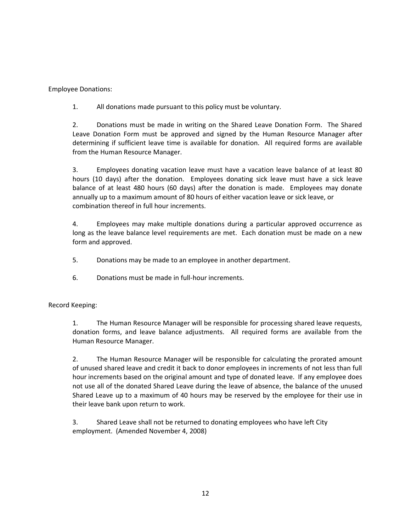Employee Donations:

1. All donations made pursuant to this policy must be voluntary.

2. Donations must be made in writing on the Shared Leave Donation Form. The Shared Leave Donation Form must be approved and signed by the Human Resource Manager after determining if sufficient leave time is available for donation. All required forms are available from the Human Resource Manager.

3. Employees donating vacation leave must have a vacation leave balance of at least 80 hours (10 days) after the donation. Employees donating sick leave must have a sick leave balance of at least 480 hours (60 days) after the donation is made. Employees may donate annually up to a maximum amount of 80 hours of either vacation leave or sick leave, or combination thereof in full hour increments.

4. Employees may make multiple donations during a particular approved occurrence as long as the leave balance level requirements are met. Each donation must be made on a new form and approved.

5. Donations may be made to an employee in another department.

6. Donations must be made in full-hour increments.

Record Keeping:

1. The Human Resource Manager will be responsible for processing shared leave requests, donation forms, and leave balance adjustments. All required forms are available from the Human Resource Manager.

2. The Human Resource Manager will be responsible for calculating the prorated amount of unused shared leave and credit it back to donor employees in increments of not less than full hour increments based on the original amount and type of donated leave. If any employee does not use all of the donated Shared Leave during the leave of absence, the balance of the unused Shared Leave up to a maximum of 40 hours may be reserved by the employee for their use in their leave bank upon return to work.

3. Shared Leave shall not be returned to donating employees who have left City employment. (Amended November 4, 2008)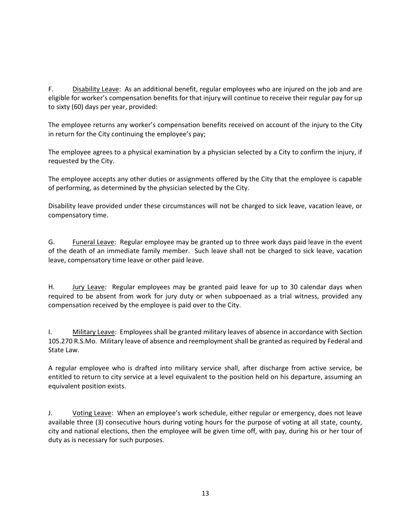F. Disability Leave: As an additional benefit, regular employees who are injured on the job and are eligible for worker's compensation benefits for that injury will continue to receive their regular pay for up to sixty (60) days per year, provided:

The employee returns any worker's compensation benefits received on account of the injury to the City in return for the City continuing the employee's pay;

The employee agrees to a physical examination by a physician selected by a City to confirm the injury, if requested by the City.

The employee accepts any other duties or assignments offered by the City that the employee is capable of performing, as determined by the physician selected by the City.

Disability leave provided under these circumstances will not be charged to sick leave, vacation leave, or compensatory time.

G. Funeral Leave: Regular employee may be granted up to three work days paid leave in the event of the death of an immediate family member. Such leave shall not be charged to sick leave, vacation leave, compensatory time leave or other paid leave.

H. Jury Leave: Regular employees may be granted paid leave for up to 30 calendar days when required to be absent from work for jury duty or when subpoenaed as a trial witness, provided any compensation received by the employee is paid over to the City.

I. Military Leave: Employees shall be granted military leaves of absence in accordance with Section 105.270 R.S.Mo. Military leave of absence and reemployment shall be granted as required by Federal and State Law.

A regular employee who is drafted into military service shall, after discharge from active service, be entitled to return to city service at a level equivalent to the position held on his departure, assuming an equivalent position exists.

J. Voting Leave: When an employee's work schedule, either regular or emergency, does not leave available three (3) consecutive hours during voting hours for the purpose of voting at all state, county, city and national elections, then the employee will be given time off, with pay, during his or her tour of duty as is necessary for such purposes.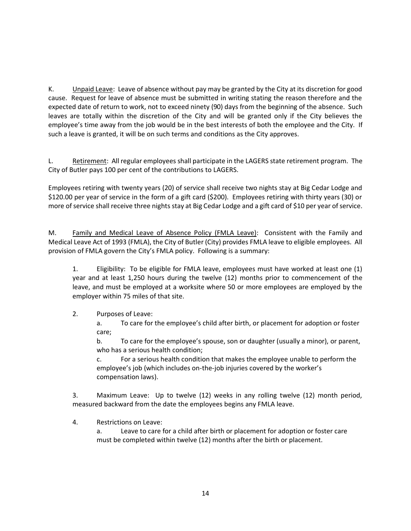K. Unpaid Leave: Leave of absence without pay may be granted by the City at its discretion for good cause. Request for leave of absence must be submitted in writing stating the reason therefore and the expected date of return to work, not to exceed ninety (90) days from the beginning of the absence. Such leaves are totally within the discretion of the City and will be granted only if the City believes the employee's time away from the job would be in the best interests of both the employee and the City. If such a leave is granted, it will be on such terms and conditions as the City approves.

L. Retirement: All regular employees shall participate in the LAGERS state retirement program. The City of Butler pays 100 per cent of the contributions to LAGERS.

Employees retiring with twenty years (20) of service shall receive two nights stay at Big Cedar Lodge and \$120.00 per year of service in the form of a gift card (\$200). Employees retiring with thirty years (30) or more of service shall receive three nights stay at Big Cedar Lodge and a gift card of \$10 per year of service.

M. Family and Medical Leave of Absence Policy (FMLA Leave): Consistent with the Family and Medical Leave Act of 1993 (FMLA), the City of Butler (City) provides FMLA leave to eligible employees. All provision of FMLA govern the City's FMLA policy. Following is a summary:

1. Eligibility: To be eligible for FMLA leave, employees must have worked at least one (1) year and at least 1,250 hours during the twelve (12) months prior to commencement of the leave, and must be employed at a worksite where 50 or more employees are employed by the employer within 75 miles of that site.

## 2. Purposes of Leave:

a. To care for the employee's child after birth, or placement for adoption or foster care;

b. To care for the employee's spouse, son or daughter (usually a minor), or parent, who has a serious health condition;

c. For a serious health condition that makes the employee unable to perform the employee's job (which includes on-the-job injuries covered by the worker's compensation laws).

3. Maximum Leave: Up to twelve (12) weeks in any rolling twelve (12) month period, measured backward from the date the employees begins any FMLA leave.

4. Restrictions on Leave:

a. Leave to care for a child after birth or placement for adoption or foster care must be completed within twelve (12) months after the birth or placement.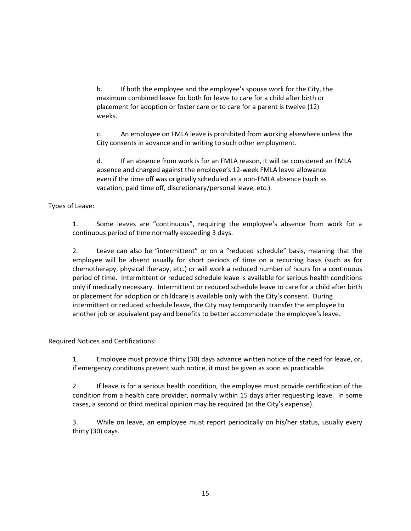b. If both the employee and the employee's spouse work for the City, the maximum combined leave for both for leave to care for a child after birth or placement for adoption or foster care or to care for a parent is twelve (12) weeks.

c. An employee on FMLA leave is prohibited from working elsewhere unless the City consents in advance and in writing to such other employment.

d. If an absence from work is for an FMLA reason, it will be considered an FMLA absence and charged against the employee's 12-week FMLA leave allowance even if the time off was originally scheduled as a non-FMLA absence (such as vacation, paid time off, discretionary/personal leave, etc.).

Types of Leave:

1. Some leaves are "continuous", requiring the employee's absence from work for a continuous period of time normally exceeding 3 days.

2. Leave can also be "intermittent" or on a "reduced schedule" basis, meaning that the employee will be absent usually for short periods of time on a recurring basis (such as for chemotherapy, physical therapy, etc.) or will work a reduced number of hours for a continuous period of time. Intermittent or reduced schedule leave is available for serious health conditions only if medically necessary. Intermittent or reduced schedule leave to care for a child after birth or placement for adoption or childcare is available only with the City's consent. During intermittent or reduced schedule leave, the City may temporarily transfer the employee to another job or equivalent pay and benefits to better accommodate the employee's leave.

Required Notices and Certifications:

1. Employee must provide thirty (30) days advance written notice of the need for leave, or, if emergency conditions prevent such notice, it must be given as soon as practicable.

2. If leave is for a serious health condition, the employee must provide certification of the condition from a health care provider, normally within 15 days after requesting leave. In some cases, a second or third medical opinion may be required (at the City's expense).

3. While on leave, an employee must report periodically on his/her status, usually every thirty (30) days.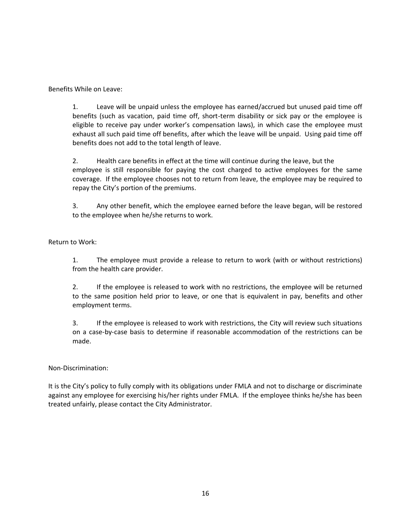Benefits While on Leave:

1. Leave will be unpaid unless the employee has earned/accrued but unused paid time off benefits (such as vacation, paid time off, short-term disability or sick pay or the employee is eligible to receive pay under worker's compensation laws), in which case the employee must exhaust all such paid time off benefits, after which the leave will be unpaid. Using paid time off benefits does not add to the total length of leave.

2. Health care benefits in effect at the time will continue during the leave, but the employee is still responsible for paying the cost charged to active employees for the same coverage. If the employee chooses not to return from leave, the employee may be required to repay the City's portion of the premiums.

3. Any other benefit, which the employee earned before the leave began, will be restored to the employee when he/she returns to work.

Return to Work:

1. The employee must provide a release to return to work (with or without restrictions) from the health care provider.

2. If the employee is released to work with no restrictions, the employee will be returned to the same position held prior to leave, or one that is equivalent in pay, benefits and other employment terms.

3. If the employee is released to work with restrictions, the City will review such situations on a case-by-case basis to determine if reasonable accommodation of the restrictions can be made.

Non-Discrimination:

It is the City's policy to fully comply with its obligations under FMLA and not to discharge or discriminate against any employee for exercising his/her rights under FMLA. If the employee thinks he/she has been treated unfairly, please contact the City Administrator.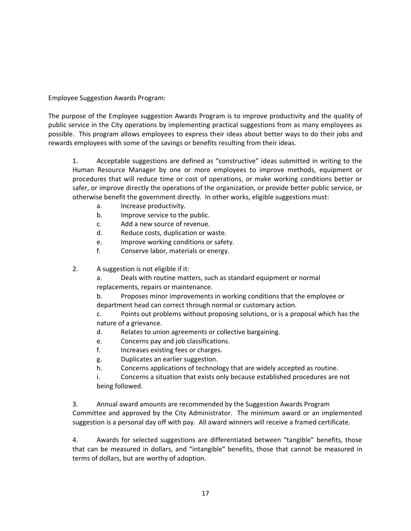Employee Suggestion Awards Program:

The purpose of the Employee suggestion Awards Program is to improve productivity and the quality of public service in the City operations by implementing practical suggestions from as many employees as possible. This program allows employees to express their ideas about better ways to do their jobs and rewards employees with some of the savings or benefits resulting from their ideas.

1. Acceptable suggestions are defined as "constructive" ideas submitted in writing to the Human Resource Manager by one or more employees to improve methods, equipment or procedures that will reduce time or cost of operations, or make working conditions better or safer, or improve directly the operations of the organization, or provide better public service, or otherwise benefit the government directly. In other works, eligible suggestions must:

- a. Increase productivity.
- b. Improve service to the public.
- c. Add a new source of revenue.
- d. Reduce costs, duplication or waste.
- e. Improve working conditions or safety.
- f. Conserve labor, materials or energy.
- 2. A suggestion is not eligible if it:

a. Deals with routine matters, such as standard equipment or normal replacements, repairs or maintenance.

b. Proposes minor improvements in working conditions that the employee or department head can correct through normal or customary action.

c. Points out problems without proposing solutions, or is a proposal which has the nature of a grievance.

- d. Relates to union agreements or collective bargaining.
- e. Concerns pay and job classifications.
- f. Increases existing fees or charges.
- g. Duplicates an earlier suggestion.
- h. Concerns applications of technology that are widely accepted as routine.

i. Concerns a situation that exists only because established procedures are not being followed.

3. Annual award amounts are recommended by the Suggestion Awards Program Committee and approved by the City Administrator. The minimum award or an implemented suggestion is a personal day off with pay. All award winners will receive a framed certificate.

4. Awards for selected suggestions are differentiated between "tangible" benefits, those that can be measured in dollars, and "intangible" benefits, those that cannot be measured in terms of dollars, but are worthy of adoption.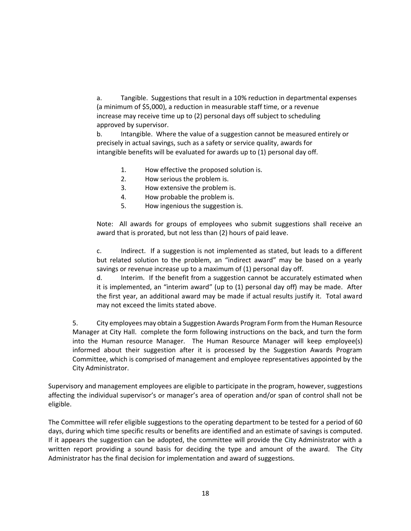a. Tangible. Suggestions that result in a 10% reduction in departmental expenses (a minimum of \$5,000), a reduction in measurable staff time, or a revenue increase may receive time up to (2) personal days off subject to scheduling approved by supervisor.

b. Intangible. Where the value of a suggestion cannot be measured entirely or precisely in actual savings, such as a safety or service quality, awards for intangible benefits will be evaluated for awards up to (1) personal day off.

- 1. How effective the proposed solution is.
- 2. How serious the problem is.
- 3. How extensive the problem is.
- 4. How probable the problem is.
- 5. How ingenious the suggestion is.

Note: All awards for groups of employees who submit suggestions shall receive an award that is prorated, but not less than (2) hours of paid leave.

c. Indirect. If a suggestion is not implemented as stated, but leads to a different but related solution to the problem, an "indirect award" may be based on a yearly savings or revenue increase up to a maximum of (1) personal day off.

d. Interim. If the benefit from a suggestion cannot be accurately estimated when it is implemented, an "interim award" (up to (1) personal day off) may be made. After the first year, an additional award may be made if actual results justify it. Total award may not exceed the limits stated above.

5. City employees may obtain a Suggestion Awards Program Form from the Human Resource Manager at City Hall. complete the form following instructions on the back, and turn the form into the Human resource Manager. The Human Resource Manager will keep employee(s) informed about their suggestion after it is processed by the Suggestion Awards Program Committee, which is comprised of management and employee representatives appointed by the City Administrator.

Supervisory and management employees are eligible to participate in the program, however, suggestions affecting the individual supervisor's or manager's area of operation and/or span of control shall not be eligible.

The Committee will refer eligible suggestions to the operating department to be tested for a period of 60 days, during which time specific results or benefits are identified and an estimate of savings is computed. If it appears the suggestion can be adopted, the committee will provide the City Administrator with a written report providing a sound basis for deciding the type and amount of the award. The City Administrator has the final decision for implementation and award of suggestions.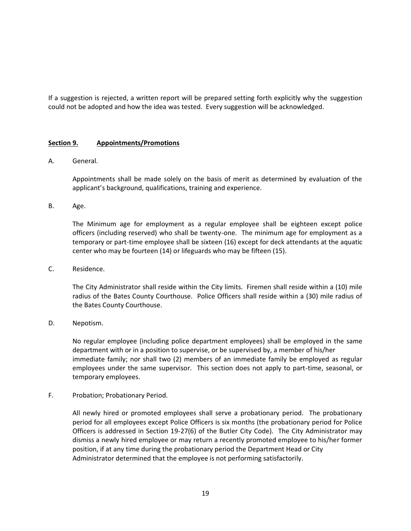If a suggestion is rejected, a written report will be prepared setting forth explicitly why the suggestion could not be adopted and how the idea was tested. Every suggestion will be acknowledged.

### **Section 9. Appointments/Promotions**

#### A. General.

Appointments shall be made solely on the basis of merit as determined by evaluation of the applicant's background, qualifications, training and experience.

B. Age.

The Minimum age for employment as a regular employee shall be eighteen except police officers (including reserved) who shall be twenty-one. The minimum age for employment as a temporary or part-time employee shall be sixteen (16) except for deck attendants at the aquatic center who may be fourteen (14) or lifeguards who may be fifteen (15).

C. Residence.

The City Administrator shall reside within the City limits. Firemen shall reside within a (10) mile radius of the Bates County Courthouse. Police Officers shall reside within a (30) mile radius of the Bates County Courthouse.

D. Nepotism.

No regular employee (including police department employees) shall be employed in the same department with or in a position to supervise, or be supervised by, a member of his/her immediate family; nor shall two (2) members of an immediate family be employed as regular employees under the same supervisor. This section does not apply to part-time, seasonal, or temporary employees.

F. Probation; Probationary Period.

All newly hired or promoted employees shall serve a probationary period. The probationary period for all employees except Police Officers is six months (the probationary period for Police Officers is addressed in Section 19-27(6) of the Butler City Code). The City Administrator may dismiss a newly hired employee or may return a recently promoted employee to his/her former position, if at any time during the probationary period the Department Head or City Administrator determined that the employee is not performing satisfactorily.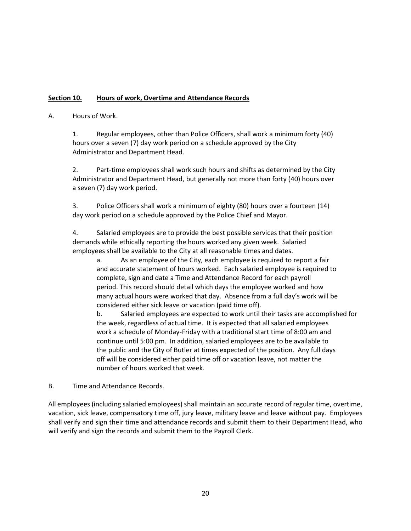## **Section 10. Hours of work, Overtime and Attendance Records**

## A. Hours of Work.

1. Regular employees, other than Police Officers, shall work a minimum forty (40) hours over a seven (7) day work period on a schedule approved by the City Administrator and Department Head.

2. Part-time employees shall work such hours and shifts as determined by the City Administrator and Department Head, but generally not more than forty (40) hours over a seven (7) day work period.

3. Police Officers shall work a minimum of eighty (80) hours over a fourteen (14) day work period on a schedule approved by the Police Chief and Mayor.

4. Salaried employees are to provide the best possible services that their position demands while ethically reporting the hours worked any given week. Salaried employees shall be available to the City at all reasonable times and dates.

a. As an employee of the City, each employee is required to report a fair and accurate statement of hours worked. Each salaried employee is required to complete, sign and date a Time and Attendance Record for each payroll period. This record should detail which days the employee worked and how many actual hours were worked that day. Absence from a full day's work will be considered either sick leave or vacation (paid time off).

b. Salaried employees are expected to work until their tasks are accomplished for the week, regardless of actual time. It is expected that all salaried employees work a schedule of Monday-Friday with a traditional start time of 8:00 am and continue until 5:00 pm. In addition, salaried employees are to be available to the public and the City of Butler at times expected of the position. Any full days off will be considered either paid time off or vacation leave, not matter the number of hours worked that week.

### B. Time and Attendance Records.

All employees (including salaried employees) shall maintain an accurate record of regular time, overtime, vacation, sick leave, compensatory time off, jury leave, military leave and leave without pay. Employees shall verify and sign their time and attendance records and submit them to their Department Head, who will verify and sign the records and submit them to the Payroll Clerk.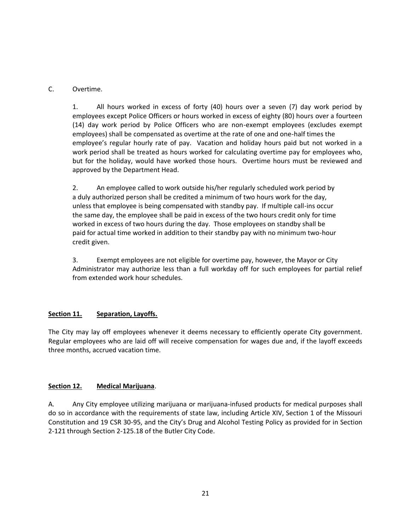C. Overtime.

1. All hours worked in excess of forty (40) hours over a seven (7) day work period by employees except Police Officers or hours worked in excess of eighty (80) hours over a fourteen (14) day work period by Police Officers who are non-exempt employees (excludes exempt employees) shall be compensated as overtime at the rate of one and one-half times the employee's regular hourly rate of pay. Vacation and holiday hours paid but not worked in a work period shall be treated as hours worked for calculating overtime pay for employees who, but for the holiday, would have worked those hours. Overtime hours must be reviewed and approved by the Department Head.

2. An employee called to work outside his/her regularly scheduled work period by a duly authorized person shall be credited a minimum of two hours work for the day, unless that employee is being compensated with standby pay. If multiple call-ins occur the same day, the employee shall be paid in excess of the two hours credit only for time worked in excess of two hours during the day. Those employees on standby shall be paid for actual time worked in addition to their standby pay with no minimum two-hour credit given.

3. Exempt employees are not eligible for overtime pay, however, the Mayor or City Administrator may authorize less than a full workday off for such employees for partial relief from extended work hour schedules.

## **Section 11. Separation, Layoffs.**

The City may lay off employees whenever it deems necessary to efficiently operate City government. Regular employees who are laid off will receive compensation for wages due and, if the layoff exceeds three months, accrued vacation time.

## **Section 12. Medical Marijuana**.

A. Any City employee utilizing marijuana or marijuana-infused products for medical purposes shall do so in accordance with the requirements of state law, including Article XIV, Section 1 of the Missouri Constitution and 19 CSR 30-95, and the City's Drug and Alcohol Testing Policy as provided for in Section 2-121 through Section 2-125.18 of the Butler City Code.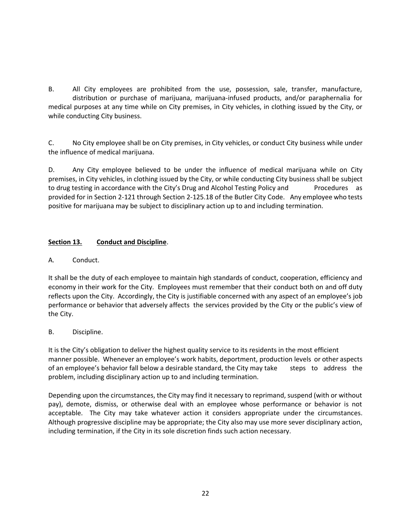B. All City employees are prohibited from the use, possession, sale, transfer, manufacture, distribution or purchase of marijuana, marijuana-infused products, and/or paraphernalia for medical purposes at any time while on City premises, in City vehicles, in clothing issued by the City, or while conducting City business.

C. No City employee shall be on City premises, in City vehicles, or conduct City business while under the influence of medical marijuana.

D. Any City employee believed to be under the influence of medical marijuana while on City premises, in City vehicles, in clothing issued by the City, or while conducting City business shall be subject to drug testing in accordance with the City's Drug and Alcohol Testing Policy and Procedures as provided for in Section 2-121 through Section 2-125.18 of the Butler City Code. Any employee who tests positive for marijuana may be subject to disciplinary action up to and including termination.

## **Section 13. Conduct and Discipline**.

## A. Conduct.

It shall be the duty of each employee to maintain high standards of conduct, cooperation, efficiency and economy in their work for the City. Employees must remember that their conduct both on and off duty reflects upon the City. Accordingly, the City is justifiable concerned with any aspect of an employee's job performance or behavior that adversely affects the services provided by the City or the public's view of the City.

## B. Discipline.

It is the City's obligation to deliver the highest quality service to its residents in the most efficient manner possible. Whenever an employee's work habits, deportment, production levels or other aspects of an employee's behavior fall below a desirable standard, the City may take steps to address the problem, including disciplinary action up to and including termination.

Depending upon the circumstances, the City may find it necessary to reprimand, suspend (with or without pay), demote, dismiss, or otherwise deal with an employee whose performance or behavior is not acceptable. The City may take whatever action it considers appropriate under the circumstances. Although progressive discipline may be appropriate; the City also may use more sever disciplinary action, including termination, if the City in its sole discretion finds such action necessary.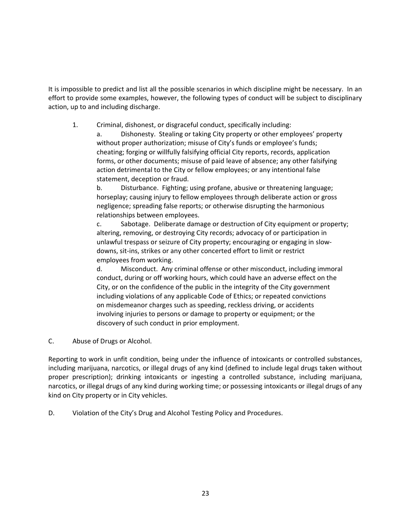It is impossible to predict and list all the possible scenarios in which discipline might be necessary. In an effort to provide some examples, however, the following types of conduct will be subject to disciplinary action, up to and including discharge.

1. Criminal, dishonest, or disgraceful conduct, specifically including:

a. Dishonesty. Stealing or taking City property or other employees' property without proper authorization; misuse of City's funds or employee's funds; cheating; forging or willfully falsifying official City reports, records, application forms, or other documents; misuse of paid leave of absence; any other falsifying action detrimental to the City or fellow employees; or any intentional false statement, deception or fraud.

b. Disturbance. Fighting; using profane, abusive or threatening language; horseplay; causing injury to fellow employees through deliberate action or gross negligence; spreading false reports; or otherwise disrupting the harmonious relationships between employees.

c. Sabotage. Deliberate damage or destruction of City equipment or property; altering, removing, or destroying City records; advocacy of or participation in unlawful trespass or seizure of City property; encouraging or engaging in slowdowns, sit-ins, strikes or any other concerted effort to limit or restrict employees from working.

d. Misconduct. Any criminal offense or other misconduct, including immoral conduct, during or off working hours, which could have an adverse effect on the City, or on the confidence of the public in the integrity of the City government including violations of any applicable Code of Ethics; or repeated convictions on misdemeanor charges such as speeding, reckless driving, or accidents involving injuries to persons or damage to property or equipment; or the discovery of such conduct in prior employment.

C. Abuse of Drugs or Alcohol.

Reporting to work in unfit condition, being under the influence of intoxicants or controlled substances, including marijuana, narcotics, or illegal drugs of any kind (defined to include legal drugs taken without proper prescription); drinking intoxicants or ingesting a controlled substance, including marijuana, narcotics, or illegal drugs of any kind during working time; or possessing intoxicants or illegal drugs of any kind on City property or in City vehicles.

D. Violation of the City's Drug and Alcohol Testing Policy and Procedures.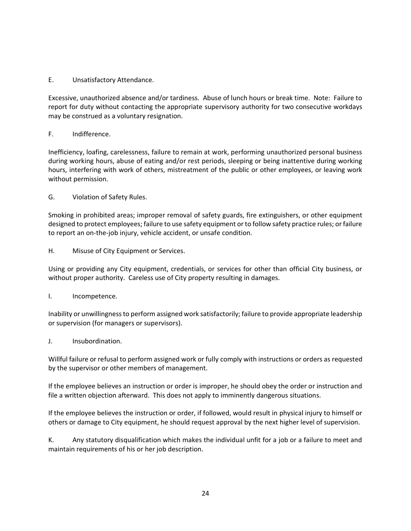E. Unsatisfactory Attendance.

Excessive, unauthorized absence and/or tardiness. Abuse of lunch hours or break time. Note: Failure to report for duty without contacting the appropriate supervisory authority for two consecutive workdays may be construed as a voluntary resignation.

### F. Indifference.

Inefficiency, loafing, carelessness, failure to remain at work, performing unauthorized personal business during working hours, abuse of eating and/or rest periods, sleeping or being inattentive during working hours, interfering with work of others, mistreatment of the public or other employees, or leaving work without permission.

G. Violation of Safety Rules.

Smoking in prohibited areas; improper removal of safety guards, fire extinguishers, or other equipment designed to protect employees; failure to use safety equipment or to follow safety practice rules; or failure to report an on-the-job injury, vehicle accident, or unsafe condition.

H. Misuse of City Equipment or Services.

Using or providing any City equipment, credentials, or services for other than official City business, or without proper authority. Careless use of City property resulting in damages.

I. Incompetence.

Inability or unwillingness to perform assigned work satisfactorily; failure to provide appropriate leadership or supervision (for managers or supervisors).

J. Insubordination.

Willful failure or refusal to perform assigned work or fully comply with instructions or orders as requested by the supervisor or other members of management.

If the employee believes an instruction or order is improper, he should obey the order or instruction and file a written objection afterward. This does not apply to imminently dangerous situations.

If the employee believes the instruction or order, if followed, would result in physical injury to himself or others or damage to City equipment, he should request approval by the next higher level of supervision.

K. Any statutory disqualification which makes the individual unfit for a job or a failure to meet and maintain requirements of his or her job description.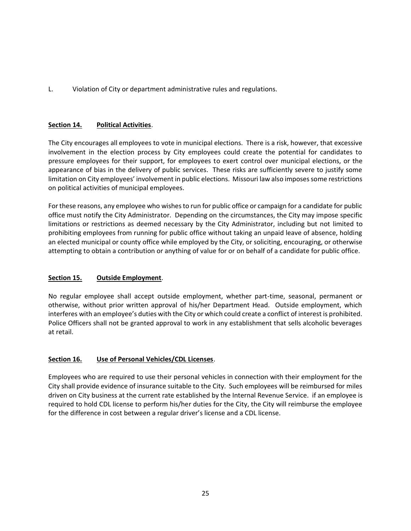L. Violation of City or department administrative rules and regulations.

## **Section 14. Political Activities**.

The City encourages all employees to vote in municipal elections. There is a risk, however, that excessive involvement in the election process by City employees could create the potential for candidates to pressure employees for their support, for employees to exert control over municipal elections, or the appearance of bias in the delivery of public services. These risks are sufficiently severe to justify some limitation on City employees' involvement in public elections. Missouri law also imposes some restrictions on political activities of municipal employees.

For these reasons, any employee who wishes to run for public office or campaign for a candidate for public office must notify the City Administrator. Depending on the circumstances, the City may impose specific limitations or restrictions as deemed necessary by the City Administrator, including but not limited to prohibiting employees from running for public office without taking an unpaid leave of absence, holding an elected municipal or county office while employed by the City, or soliciting, encouraging, or otherwise attempting to obtain a contribution or anything of value for or on behalf of a candidate for public office.

### **Section 15. Outside Employment**.

No regular employee shall accept outside employment, whether part-time, seasonal, permanent or otherwise, without prior written approval of his/her Department Head. Outside employment, which interferes with an employee's duties with the City or which could create a conflict of interest is prohibited. Police Officers shall not be granted approval to work in any establishment that sells alcoholic beverages at retail.

### **Section 16. Use of Personal Vehicles/CDL Licenses**.

Employees who are required to use their personal vehicles in connection with their employment for the City shall provide evidence of insurance suitable to the City. Such employees will be reimbursed for miles driven on City business at the current rate established by the Internal Revenue Service. if an employee is required to hold CDL license to perform his/her duties for the City, the City will reimburse the employee for the difference in cost between a regular driver's license and a CDL license.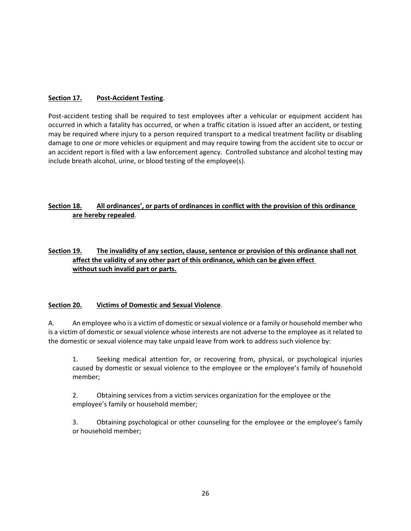## **Section 17. Post-Accident Testing**.

Post-accident testing shall be required to test employees after a vehicular or equipment accident has occurred in which a fatality has occurred, or when a traffic citation is issued after an accident, or testing may be required where injury to a person required transport to a medical treatment facility or disabling damage to one or more vehicles or equipment and may require towing from the accident site to occur or an accident report is filed with a law enforcement agency. Controlled substance and alcohol testing may include breath alcohol, urine, or blood testing of the employee(s).

## **Section 18. All ordinances', or parts of ordinances in conflict with the provision of this ordinance are hereby repealed**.

## **Section 19. The invalidity of any section, clause, sentence or provision of this ordinance shall not affect the validity of any other part of this ordinance, which can be given effect without such invalid part or parts.**

## **Section 20. Victims of Domestic and Sexual Violence**.

A. An employee who is a victim of domestic or sexual violence or a family or household member who is a victim of domestic or sexual violence whose interests are not adverse to the employee as it related to the domestic or sexual violence may take unpaid leave from work to address such violence by:

1. Seeking medical attention for, or recovering from, physical, or psychological injuries caused by domestic or sexual violence to the employee or the employee's family of household member;

2. Obtaining services from a victim services organization for the employee or the employee's family or household member;

3. Obtaining psychological or other counseling for the employee or the employee's family or household member;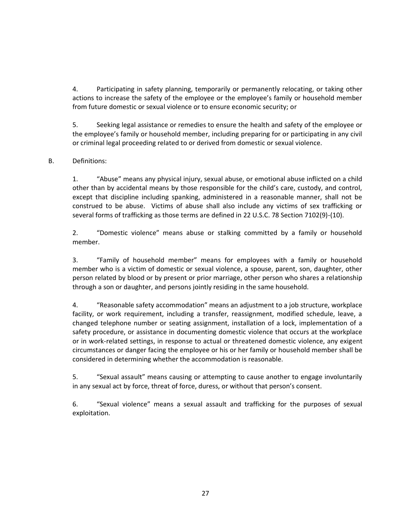4. Participating in safety planning, temporarily or permanently relocating, or taking other actions to increase the safety of the employee or the employee's family or household member from future domestic or sexual violence or to ensure economic security; or

5. Seeking legal assistance or remedies to ensure the health and safety of the employee or the employee's family or household member, including preparing for or participating in any civil or criminal legal proceeding related to or derived from domestic or sexual violence.

## B. Definitions:

1. "Abuse" means any physical injury, sexual abuse, or emotional abuse inflicted on a child other than by accidental means by those responsible for the child's care, custody, and control, except that discipline including spanking, administered in a reasonable manner, shall not be construed to be abuse. Victims of abuse shall also include any victims of sex trafficking or several forms of trafficking as those terms are defined in 22 U.S.C. 78 Section 7102(9)-(10).

2. "Domestic violence" means abuse or stalking committed by a family or household member.

3. "Family of household member" means for employees with a family or household member who is a victim of domestic or sexual violence, a spouse, parent, son, daughter, other person related by blood or by present or prior marriage, other person who shares a relationship through a son or daughter, and persons jointly residing in the same household.

4. "Reasonable safety accommodation" means an adjustment to a job structure, workplace facility, or work requirement, including a transfer, reassignment, modified schedule, leave, a changed telephone number or seating assignment, installation of a lock, implementation of a safety procedure, or assistance in documenting domestic violence that occurs at the workplace or in work-related settings, in response to actual or threatened domestic violence, any exigent circumstances or danger facing the employee or his or her family or household member shall be considered in determining whether the accommodation is reasonable.

5. "Sexual assault" means causing or attempting to cause another to engage involuntarily in any sexual act by force, threat of force, duress, or without that person's consent.

6. "Sexual violence" means a sexual assault and trafficking for the purposes of sexual exploitation.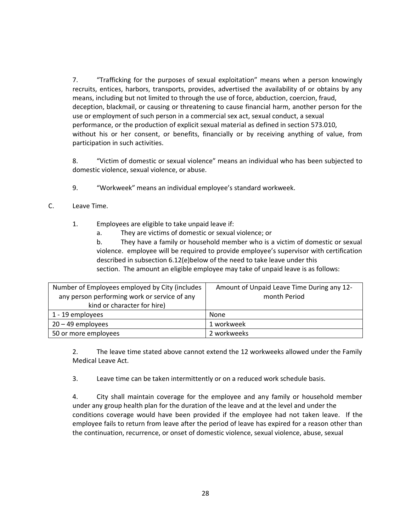7. "Trafficking for the purposes of sexual exploitation" means when a person knowingly recruits, entices, harbors, transports, provides, advertised the availability of or obtains by any means, including but not limited to through the use of force, abduction, coercion, fraud, deception, blackmail, or causing or threatening to cause financial harm, another person for the use or employment of such person in a commercial sex act, sexual conduct, a sexual performance, or the production of explicit sexual material as defined in section 573.010, without his or her consent, or benefits, financially or by receiving anything of value, from participation in such activities.

8. "Victim of domestic or sexual violence" means an individual who has been subjected to domestic violence, sexual violence, or abuse.

9. "Workweek" means an individual employee's standard workweek.

### C. Leave Time.

1. Employees are eligible to take unpaid leave if:

a. They are victims of domestic or sexual violence; or

b. They have a family or household member who is a victim of domestic or sexual violence. employee will be required to provide employee's supervisor with certification described in subsection 6.12(e)below of the need to take leave under this section. The amount an eligible employee may take of unpaid leave is as follows:

| Number of Employees employed by City (includes | Amount of Unpaid Leave Time During any 12- |
|------------------------------------------------|--------------------------------------------|
| any person performing work or service of any   | month Period                               |
| kind or character for hire)                    |                                            |
| 1 - 19 employees                               | None                                       |
| $20 - 49$ employees                            | 1 workweek                                 |
| 50 or more employees                           | 2 workweeks                                |

2. The leave time stated above cannot extend the 12 workweeks allowed under the Family Medical Leave Act.

3. Leave time can be taken intermittently or on a reduced work schedule basis.

4. City shall maintain coverage for the employee and any family or household member under any group health plan for the duration of the leave and at the level and under the conditions coverage would have been provided if the employee had not taken leave. If the employee fails to return from leave after the period of leave has expired for a reason other than the continuation, recurrence, or onset of domestic violence, sexual violence, abuse, sexual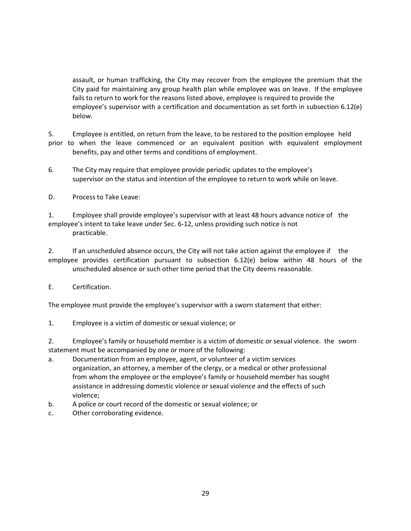assault, or human trafficking, the City may recover from the employee the premium that the City paid for maintaining any group health plan while employee was on leave. If the employee fails to return to work for the reasons listed above, employee is required to provide the employee's supervisor with a certification and documentation as set forth in subsection 6.12(e) below.

5. Employee is entitled, on return from the leave, to be restored to the position employee held prior to when the leave commenced or an equivalent position with equivalent employment benefits, pay and other terms and conditions of employment.

- 6. The City may require that employee provide periodic updates to the employee's supervisor on the status and intention of the employee to return to work while on leave.
- D. Process to Take Leave:

1. Employee shall provide employee's supervisor with at least 48 hours advance notice of the employee's intent to take leave under Sec. 6-12, unless providing such notice is not practicable.

2. If an unscheduled absence occurs, the City will not take action against the employee if the employee provides certification pursuant to subsection 6.12(e) below within 48 hours of the unscheduled absence or such other time period that the City deems reasonable.

E. Certification.

The employee must provide the employee's supervisor with a sworn statement that either:

1. Employee is a victim of domestic or sexual violence; or

2. Employee's family or household member is a victim of domestic or sexual violence. the sworn statement must be accompanied by one or more of the following:

- a. Documentation from an employee, agent, or volunteer of a victim services organization, an attorney, a member of the clergy, or a medical or other professional from whom the employee or the employee's family or household member has sought assistance in addressing domestic violence or sexual violence and the effects of such violence;
- b. A police or court record of the domestic or sexual violence; or
- c. Other corroborating evidence.